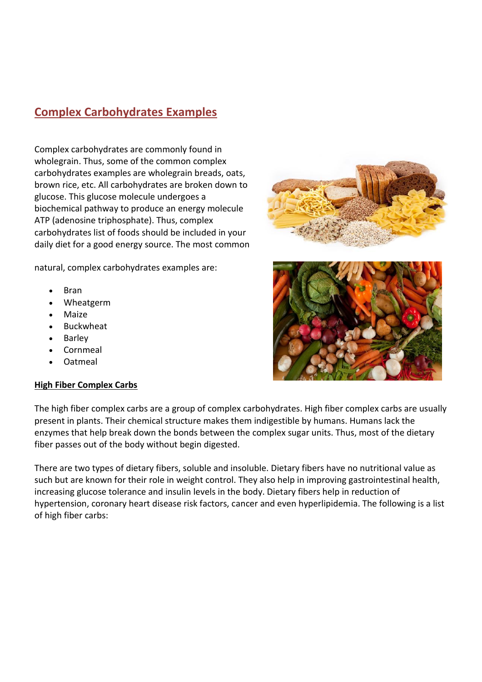# **Complex Carbohydrates Examples**

Complex carbohydrates are commonly found in wholegrain. Thus, some of the common complex carbohydrates examples are wholegrain breads, oats, brown rice, etc. All carbohydrates are broken down to glucose. This glucose molecule undergoes a biochemical pathway to produce an energy molecule ATP (adenosine triphosphate). Thus, complex carbohydrates list of foods should be included in your daily diet for a good energy source. The most common

natural, complex carbohydrates examples are:

- Bran
- Wheatgerm
- Maize
- Buckwheat
- Barley
- Cornmeal
- Oatmeal

#### **High Fiber Complex Carbs**

The high fiber complex carbs are a group of complex carbohydrates. High fiber complex carbs are usually present in plants. Their chemical structure makes them indigestible by humans. Humans lack the enzymes that help break down the bonds between the complex sugar units. Thus, most of the dietary fiber passes out of the body without begin digested.

There are two types of dietary fibers, soluble and insoluble. Dietary fibers have no nutritional value as such but are known for their role in weight control. They also help in improving gastrointestinal health, increasing glucose tolerance and insulin levels in the body. Dietary fibers help in reduction of hypertension, coronary heart disease risk factors, cancer and even hyperlipidemia. The following is a list of high fiber carbs:



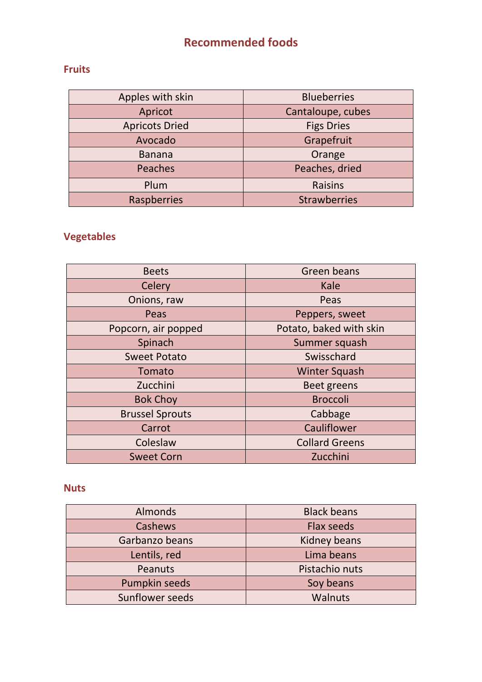# **Recommended foods**

## **Fruits**

| Apples with skin      | <b>Blueberries</b>  |
|-----------------------|---------------------|
| Apricot               | Cantaloupe, cubes   |
| <b>Apricots Dried</b> | <b>Figs Dries</b>   |
| Avocado               | Grapefruit          |
| <b>Banana</b>         | Orange              |
| Peaches               | Peaches, dried      |
| Plum                  | Raisins             |
| Raspberries           | <b>Strawberries</b> |

# **Vegetables**

| <b>Beets</b>           | Green beans             |
|------------------------|-------------------------|
| Celery                 | Kale                    |
| Onions, raw            | Peas                    |
| Peas                   | Peppers, sweet          |
| Popcorn, air popped    | Potato, baked with skin |
| Spinach                | Summer squash           |
| <b>Sweet Potato</b>    | Swisschard              |
| Tomato                 | <b>Winter Squash</b>    |
| Zucchini               | <b>Beet greens</b>      |
| <b>Bok Choy</b>        | <b>Broccoli</b>         |
| <b>Brussel Sprouts</b> | Cabbage                 |
| Carrot                 | Cauliflower             |
| Coleslaw               | <b>Collard Greens</b>   |
| <b>Sweet Corn</b>      | Zucchini                |

### **Nuts**

| <b>Almonds</b>  | <b>Black beans</b> |
|-----------------|--------------------|
| <b>Cashews</b>  | <b>Flax seeds</b>  |
| Garbanzo beans  | Kidney beans       |
| Lentils, red    | Lima beans         |
| Peanuts         | Pistachio nuts     |
| Pumpkin seeds   | Soy beans          |
| Sunflower seeds | <b>Walnuts</b>     |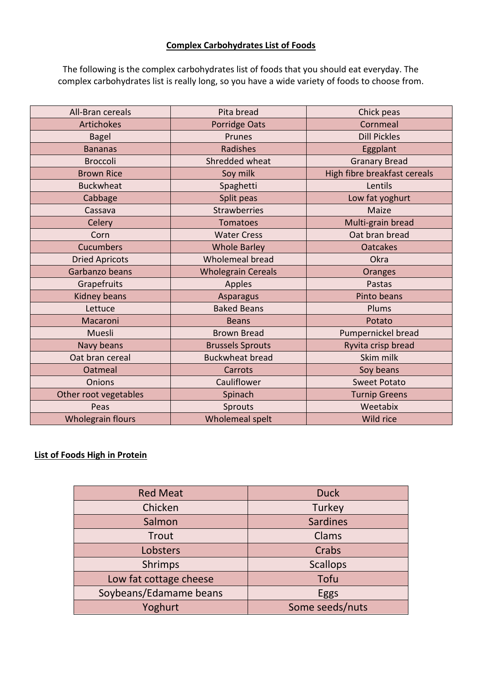#### **Complex Carbohydrates List of Foods**

The following is the complex carbohydrates list of foods that you should eat everyday. The complex carbohydrates list is really long, so you have a wide variety of foods to choose from.

| All-Bran cereals         | Pita bread                | Chick peas                   |
|--------------------------|---------------------------|------------------------------|
| <b>Artichokes</b>        | <b>Porridge Oats</b>      | Cornmeal                     |
| <b>Bagel</b>             | Prunes                    | <b>Dill Pickles</b>          |
| <b>Bananas</b>           | <b>Radishes</b>           | Eggplant                     |
| <b>Broccoli</b>          | Shredded wheat            | <b>Granary Bread</b>         |
| <b>Brown Rice</b>        | Soy milk                  | High fibre breakfast cereals |
| <b>Buckwheat</b>         | Spaghetti                 | Lentils                      |
| Cabbage                  | Split peas                | Low fat yoghurt              |
| Cassava                  | <b>Strawberries</b>       | Maize                        |
| Celery                   | Tomatoes                  | Multi-grain bread            |
| Corn                     | <b>Water Cress</b>        | Oat bran bread               |
| <b>Cucumbers</b>         | <b>Whole Barley</b>       | <b>Oatcakes</b>              |
| <b>Dried Apricots</b>    | Wholemeal bread           | Okra                         |
| Garbanzo beans           | <b>Wholegrain Cereals</b> | <b>Oranges</b>               |
| Grapefruits              | Apples                    | Pastas                       |
| Kidney beans             | <b>Asparagus</b>          | Pinto beans                  |
| Lettuce                  | <b>Baked Beans</b>        | Plums                        |
| Macaroni                 | <b>Beans</b>              | Potato                       |
| Muesli                   | <b>Brown Bread</b>        | Pumpernickel bread           |
| Navy beans               | <b>Brussels Sprouts</b>   | Ryvita crisp bread           |
| Oat bran cereal          | <b>Buckwheat bread</b>    | Skim milk                    |
| Oatmeal                  | Carrots                   | Soy beans                    |
| <b>Onions</b>            | Cauliflower               | <b>Sweet Potato</b>          |
| Other root vegetables    | Spinach                   | <b>Turnip Greens</b>         |
| Peas                     | <b>Sprouts</b>            | Weetabix                     |
| <b>Wholegrain flours</b> | <b>Wholemeal spelt</b>    | Wild rice                    |

### **List of Foods High in Protein**

| <b>Red Meat</b>        | <b>Duck</b>     |
|------------------------|-----------------|
| Chicken                | Turkey          |
| Salmon                 | <b>Sardines</b> |
| Trout                  | <b>Clams</b>    |
| Lobsters               | Crabs           |
| <b>Shrimps</b>         | <b>Scallops</b> |
| Low fat cottage cheese | Tofu            |
| Soybeans/Edamame beans | Eggs            |
| Yoghurt                | Some seeds/nuts |